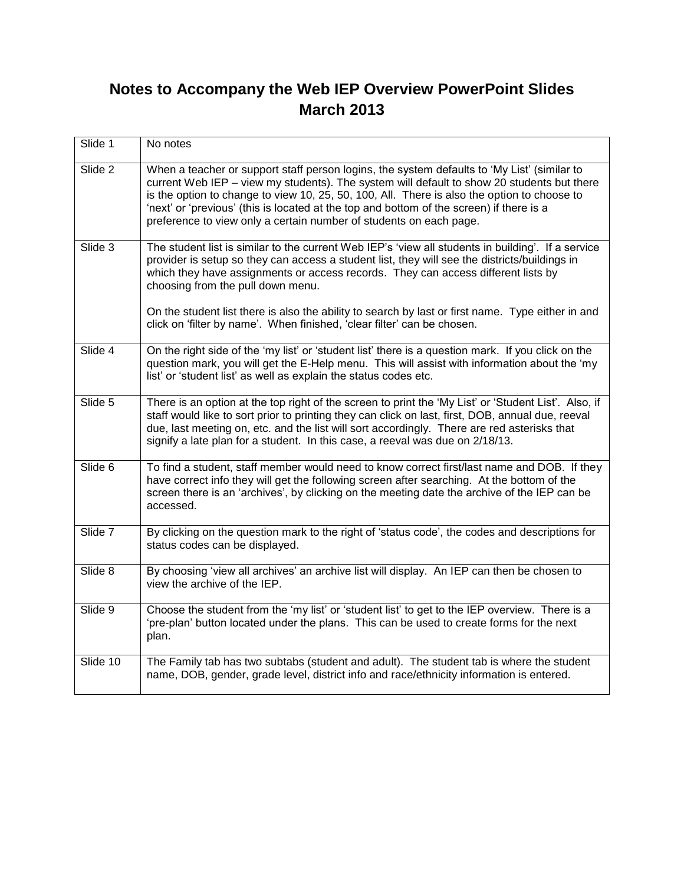## **Notes to Accompany the Web IEP Overview PowerPoint Slides March 2013**

| Slide 1  | No notes                                                                                                                                                                                                                                                                                                                                                                                                                                                   |
|----------|------------------------------------------------------------------------------------------------------------------------------------------------------------------------------------------------------------------------------------------------------------------------------------------------------------------------------------------------------------------------------------------------------------------------------------------------------------|
| Slide 2  | When a teacher or support staff person logins, the system defaults to 'My List' (similar to<br>current Web IEP - view my students). The system will default to show 20 students but there<br>is the option to change to view 10, 25, 50, 100, All. There is also the option to choose to<br>'next' or 'previous' (this is located at the top and bottom of the screen) if there is a<br>preference to view only a certain number of students on each page. |
| Slide 3  | The student list is similar to the current Web IEP's 'view all students in building'. If a service<br>provider is setup so they can access a student list, they will see the districts/buildings in<br>which they have assignments or access records. They can access different lists by<br>choosing from the pull down menu.                                                                                                                              |
|          | On the student list there is also the ability to search by last or first name. Type either in and<br>click on 'filter by name'. When finished, 'clear filter' can be chosen.                                                                                                                                                                                                                                                                               |
| Slide 4  | On the right side of the 'my list' or 'student list' there is a question mark. If you click on the<br>question mark, you will get the E-Help menu. This will assist with information about the 'my<br>list' or 'student list' as well as explain the status codes etc.                                                                                                                                                                                     |
| Slide 5  | There is an option at the top right of the screen to print the 'My List' or 'Student List'. Also, if<br>staff would like to sort prior to printing they can click on last, first, DOB, annual due, reeval<br>due, last meeting on, etc. and the list will sort accordingly. There are red asterisks that<br>signify a late plan for a student. In this case, a reeval was due on 2/18/13.                                                                  |
| Slide 6  | To find a student, staff member would need to know correct first/last name and DOB. If they<br>have correct info they will get the following screen after searching. At the bottom of the<br>screen there is an 'archives', by clicking on the meeting date the archive of the IEP can be<br>accessed.                                                                                                                                                     |
| Slide 7  | By clicking on the question mark to the right of 'status code', the codes and descriptions for<br>status codes can be displayed.                                                                                                                                                                                                                                                                                                                           |
| Slide 8  | By choosing 'view all archives' an archive list will display. An IEP can then be chosen to<br>view the archive of the IEP.                                                                                                                                                                                                                                                                                                                                 |
| Slide 9  | Choose the student from the 'my list' or 'student list' to get to the IEP overview. There is a<br>'pre-plan' button located under the plans. This can be used to create forms for the next<br>plan.                                                                                                                                                                                                                                                        |
| Slide 10 | The Family tab has two subtabs (student and adult). The student tab is where the student<br>name, DOB, gender, grade level, district info and race/ethnicity information is entered.                                                                                                                                                                                                                                                                       |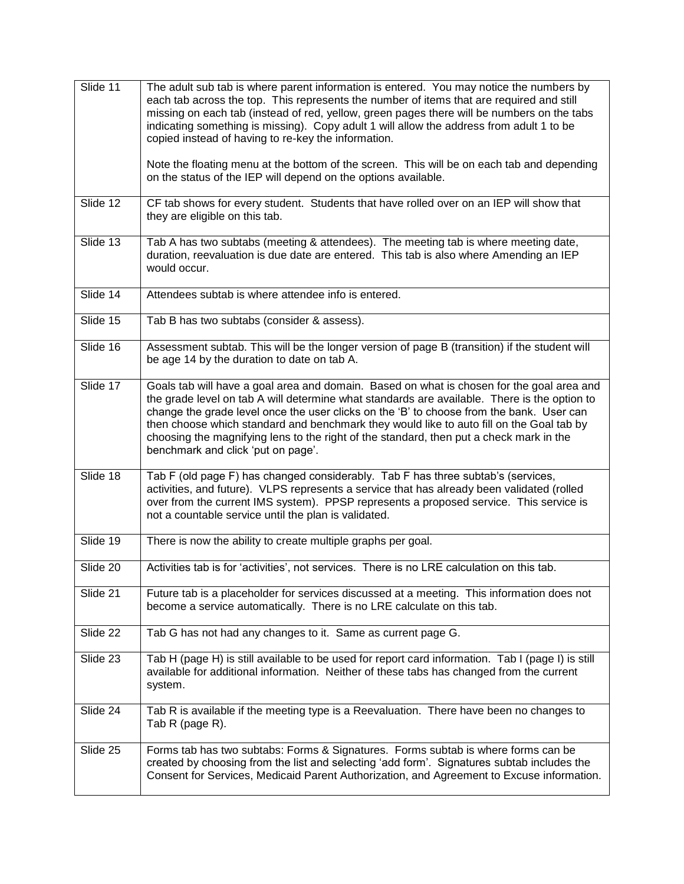| Slide 11 | The adult sub tab is where parent information is entered. You may notice the numbers by<br>each tab across the top. This represents the number of items that are required and still<br>missing on each tab (instead of red, yellow, green pages there will be numbers on the tabs<br>indicating something is missing). Copy adult 1 will allow the address from adult 1 to be<br>copied instead of having to re-key the information.<br>Note the floating menu at the bottom of the screen. This will be on each tab and depending<br>on the status of the IEP will depend on the options available. |
|----------|------------------------------------------------------------------------------------------------------------------------------------------------------------------------------------------------------------------------------------------------------------------------------------------------------------------------------------------------------------------------------------------------------------------------------------------------------------------------------------------------------------------------------------------------------------------------------------------------------|
| Slide 12 | CF tab shows for every student. Students that have rolled over on an IEP will show that<br>they are eligible on this tab.                                                                                                                                                                                                                                                                                                                                                                                                                                                                            |
| Slide 13 | Tab A has two subtabs (meeting & attendees). The meeting tab is where meeting date,<br>duration, reevaluation is due date are entered. This tab is also where Amending an IEP<br>would occur.                                                                                                                                                                                                                                                                                                                                                                                                        |
| Slide 14 | Attendees subtab is where attendee info is entered.                                                                                                                                                                                                                                                                                                                                                                                                                                                                                                                                                  |
| Slide 15 | Tab B has two subtabs (consider & assess).                                                                                                                                                                                                                                                                                                                                                                                                                                                                                                                                                           |
| Slide 16 | Assessment subtab. This will be the longer version of page B (transition) if the student will<br>be age 14 by the duration to date on tab A.                                                                                                                                                                                                                                                                                                                                                                                                                                                         |
| Slide 17 | Goals tab will have a goal area and domain. Based on what is chosen for the goal area and<br>the grade level on tab A will determine what standards are available. There is the option to<br>change the grade level once the user clicks on the 'B' to choose from the bank. User can<br>then choose which standard and benchmark they would like to auto fill on the Goal tab by<br>choosing the magnifying lens to the right of the standard, then put a check mark in the<br>benchmark and click 'put on page'.                                                                                   |
| Slide 18 | Tab F (old page F) has changed considerably. Tab F has three subtab's (services,<br>activities, and future). VLPS represents a service that has already been validated (rolled<br>over from the current IMS system). PPSP represents a proposed service. This service is<br>not a countable service until the plan is validated.                                                                                                                                                                                                                                                                     |
| Slide 19 | There is now the ability to create multiple graphs per goal.                                                                                                                                                                                                                                                                                                                                                                                                                                                                                                                                         |
| Slide 20 | Activities tab is for 'activities', not services. There is no LRE calculation on this tab.                                                                                                                                                                                                                                                                                                                                                                                                                                                                                                           |
| Slide 21 | Future tab is a placeholder for services discussed at a meeting. This information does not<br>become a service automatically. There is no LRE calculate on this tab.                                                                                                                                                                                                                                                                                                                                                                                                                                 |
| Slide 22 | Tab G has not had any changes to it. Same as current page G.                                                                                                                                                                                                                                                                                                                                                                                                                                                                                                                                         |
| Slide 23 | Tab H (page H) is still available to be used for report card information. Tab I (page I) is still<br>available for additional information. Neither of these tabs has changed from the current<br>system.                                                                                                                                                                                                                                                                                                                                                                                             |
| Slide 24 | Tab R is available if the meeting type is a Reevaluation. There have been no changes to<br>Tab R (page R).                                                                                                                                                                                                                                                                                                                                                                                                                                                                                           |
| Slide 25 | Forms tab has two subtabs: Forms & Signatures. Forms subtab is where forms can be<br>created by choosing from the list and selecting 'add form'. Signatures subtab includes the<br>Consent for Services, Medicaid Parent Authorization, and Agreement to Excuse information.                                                                                                                                                                                                                                                                                                                         |